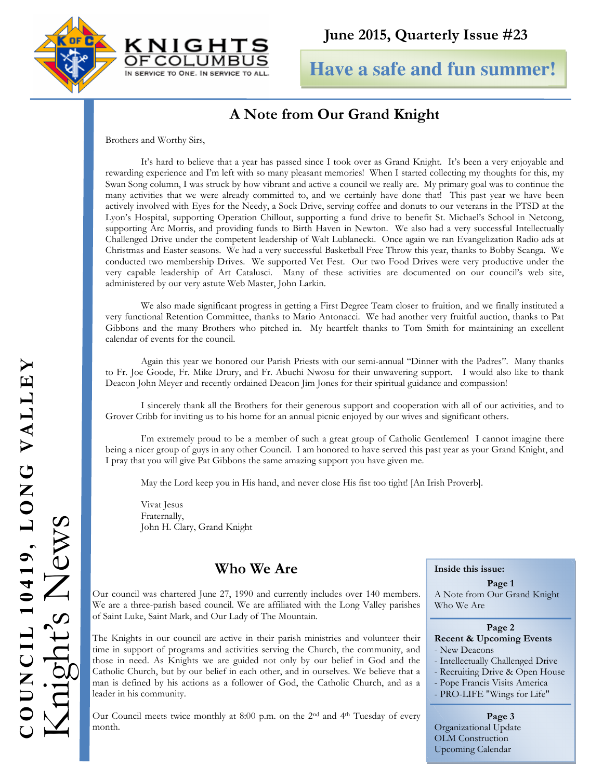



**Have a safe and fun summer!**

# A Note from Our Grand Knight

Brothers and Worthy Sirs,

It's hard to believe that a year has passed since I took over as Grand Knight. It's been a very enjoyable and rewarding experience and I'm left with so many pleasant memories! When I started collecting my thoughts for this, my Swan Song column, I was struck by how vibrant and active a council we really are. My primary goal was to continue the many activities that we were already committed to, and we certainly have done that! This past year we have been actively involved with Eyes for the Needy, a Sock Drive, serving coffee and donuts to our veterans in the PTSD at the Lyon's Hospital, supporting Operation Chillout, supporting a fund drive to benefit St. Michael's School in Netcong, supporting Arc Morris, and providing funds to Birth Haven in Newton. We also had a very successful Intellectually Challenged Drive under the competent leadership of Walt Lublanecki. Once again we ran Evangelization Radio ads at Christmas and Easter seasons. We had a very successful Basketball Free Throw this year, thanks to Bobby Scanga. We conducted two membership Drives. We supported Vet Fest. Our two Food Drives were very productive under the very capable leadership of Art Catalusci. Many of these activities are documented on our council's web site, administered by our very astute Web Master, John Larkin.

 We also made significant progress in getting a First Degree Team closer to fruition, and we finally instituted a very functional Retention Committee, thanks to Mario Antonacci. We had another very fruitful auction, thanks to Pat Gibbons and the many Brothers who pitched in. My heartfelt thanks to Tom Smith for maintaining an excellent calendar of events for the council.

 Again this year we honored our Parish Priests with our semi-annual "Dinner with the Padres". Many thanks to Fr. Joe Goode, Fr. Mike Drury, and Fr. Abuchi Nwosu for their unwavering support. I would also like to thank Deacon John Meyer and recently ordained Deacon Jim Jones for their spiritual guidance and compassion!

I sincerely thank all the Brothers for their generous support and cooperation with all of our activities, and to Grover Cribb for inviting us to his home for an annual picnic enjoyed by our wives and significant others.

I'm extremely proud to be a member of such a great group of Catholic Gentlemen! I cannot imagine there being a nicer group of guys in any other Council. I am honored to have served this past year as your Grand Knight, and I pray that you will give Pat Gibbons the same amazing support you have given me.

May the Lord keep you in His hand, and never close His fist too tight! [An Irish Proverb].

 Vivat Jesus Fraternally, John H. Clary, Grand Knight

# Who We Are

Our council was chartered June 27, 1990 and currently includes over 140 members. We are a three-parish based council. We are affiliated with the Long Valley parishes of Saint Luke, Saint Mark, and Our Lady of The Mountain.

The Knights in our council are active in their parish ministries and volunteer their time in support of programs and activities serving the Church, the community, and those in need. As Knights we are guided not only by our belief in God and the Catholic Church, but by our belief in each other, and in ourselves. We believe that a man is defined by his actions as a follower of God, the Catholic Church, and as a leader in his community.

Our Council meets twice monthly at 8:00 p.m. on the 2nd and 4th Tuesday of every month.

#### Inside this issue:

Page 1 A Note from Our Grand Knight Who We Are

#### Page 2

#### Recent & Upcoming Events

- New Deacons
- Intellectually Challenged Drive
- Recruiting Drive & Open House
- Pope Francis Visits America

#### - PRO-LIFE "Wings for Life"

Page 3 Organizational Update OLM Construction Upcoming Calendar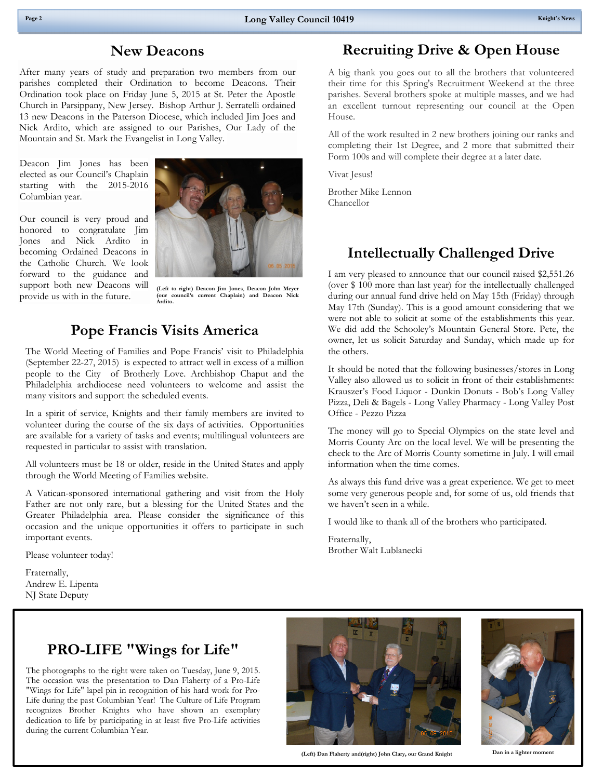#### New Deacons

After many years of study and preparation two members from our parishes completed their Ordination to become Deacons. Their Ordination took place on Friday June 5, 2015 at St. Peter the Apostle Church in Parsippany, New Jersey. Bishop Arthur J. Serratelli ordained 13 new Deacons in the Paterson Diocese, which included Jim Joes and Nick Ardito, which are assigned to our Parishes, Our Lady of the Mountain and St. Mark the Evangelist in Long Valley.

Deacon Jim Jones has been elected as our Council's Chaplain starting with the 2015-2016 Columbian year.

Our council is very proud and honored to congratulate Jim Jones and Nick Ardito in becoming Ordained Deacons in the Catholic Church. We look forward to the guidance and support both new Deacons will provide us with in the future.



(Left to right) Deacon Jim Jones, Deacon John Meyer (our council's current Chaplain) and Deacon Nick Ardito.

### Pope Francis Visits America

The World Meeting of Families and Pope Francis' visit to Philadelphia (September 22-27, 2015) is expected to attract well in excess of a million people to the City of Brotherly Love. Archbishop Chaput and the Philadelphia archdiocese need volunteers to welcome and assist the many visitors and support the scheduled events.

In a spirit of service, Knights and their family members are invited to volunteer during the course of the six days of activities. Opportunities are available for a variety of tasks and events; multilingual volunteers are requested in particular to assist with translation.

All volunteers must be 18 or older, reside in the United States and apply through the World Meeting of Families website.

A Vatican-sponsored international gathering and visit from the Holy Father are not only rare, but a blessing for the United States and the Greater Philadelphia area. Please consider the significance of this occasion and the unique opportunities it offers to participate in such important events.

Please volunteer today!

Fraternally, Andrew E. Lipenta NJ State Deputy

## Recruiting Drive & Open House

A big thank you goes out to all the brothers that volunteered their time for this Spring's Recruitment Weekend at the three parishes. Several brothers spoke at multiple masses, and we had an excellent turnout representing our council at the Open House.

All of the work resulted in 2 new brothers joining our ranks and completing their 1st Degree, and 2 more that submitted their Form 100s and will complete their degree at a later date.

Vivat Jesus!

Brother Mike Lennon Chancellor

### Intellectually Challenged Drive

I am very pleased to announce that our council raised \$2,551.26 (over \$ 100 more than last year) for the intellectually challenged during our annual fund drive held on May 15th (Friday) through May 17th (Sunday). This is a good amount considering that we were not able to solicit at some of the establishments this year. We did add the Schooley's Mountain General Store. Pete, the owner, let us solicit Saturday and Sunday, which made up for the others.

It should be noted that the following businesses/stores in Long Valley also allowed us to solicit in front of their establishments: Krauszer's Food Liquor - Dunkin Donuts - Bob's Long Valley Pizza, Deli & Bagels - Long Valley Pharmacy - Long Valley Post Office - Pezzo Pizza

The money will go to Special Olympics on the state level and Morris County Arc on the local level. We will be presenting the check to the Arc of Morris County sometime in July. I will email information when the time comes.

As always this fund drive was a great experience. We get to meet some very generous people and, for some of us, old friends that we haven't seen in a while.

I would like to thank all of the brothers who participated.

Fraternally, Brother Walt Lublanecki

## PRO-LIFE "Wings for Life"

The photographs to the right were taken on Tuesday, June 9, 2015. The occasion was the presentation to Dan Flaherty of a Pro-Life "Wings for Life" lapel pin in recognition of his hard work for Pro-Life during the past Columbian Year! The Culture of Life Program recognizes Brother Knights who have shown an exemplary dedication to life by participating in at least five Pro-Life activities during the current Columbian Year.



(Left) Dan Flaherty and(right) John Clary, our Grand Knight Dan in a lighter moment